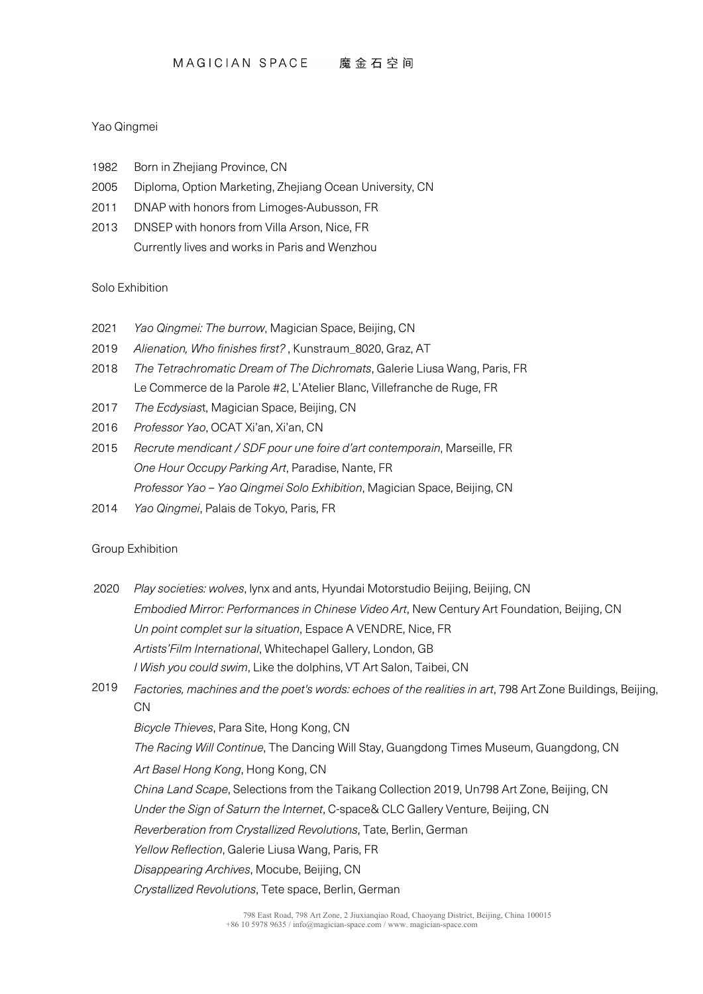## Yao Qingmei

- 1982 Born in Zhejiang Province, CN
- 2005 Diploma, Option Marketing, Zhejiang Ocean University, CN
- 2011 DNAP with honors from Limoges-Aubusson, FR
- 2013 DNSEP with honors from Villa Arson, Nice, FR Currently lives and works in Paris and Wenzhou

# Solo Exhibition

- 2021 *Yao Qingmei: The burrow*, Magician Space, Beijing, CN
- 2019 *Alienation, Who finishes first?* , Kunstraum\_8020, Graz, AT
- 2018 *The Tetrachromatic Dream of The Dichromats*, Galerie Liusa Wang, Paris, FR Le Commerce de la Parole #2, L'Atelier Blanc, Villefranche de Ruge, FR
- 2017 *The Ecdysias*t, Magician Space, Beijing, CN
- 2016 *Professor Yao*, OCAT Xi'an, Xi'an, CN
- 2015 *Recrute mendicant / SDF pour une foire d'art contemporain*, Marseille, FR *One Hour Occupy Parking Art*, Paradise, Nante, FR *Professor Yao – Yao Qingmei Solo Exhibition*, Magician Space, Beijing, CN
- 2014 *Yao Qingmei*, Palais de Tokyo, Paris, FR

# Group Exhibition

- 2020 *Play societies: wolves*, lynx and ants, Hyundai Motorstudio Beijing, Beijing, CN *Embodied Mirror: Performances in Chinese Video Art*, New Century Art Foundation, Beijing, CN *Un point complet sur la situation*, Espace A VENDRE, Nice, FR *Artists'Film International*, Whitechapel Gallery, London, GB *I Wish you could swim*, Like the dolphins, VT Art Salon, Taibei, CN
- 2019 *Factories, machines and the poet's words: echoes of the realities in art*, 798 Art Zone Buildings, Beijing,  $CM$

*Bicycle Thieves*, Para Site, Hong Kong, CN

*The Racing Will Continue*, The Dancing Will Stay, Guangdong Times Museum, Guangdong, CN

*Art Basel Hong Kong*, Hong Kong, CN

*China Land Scape*, Selections from the Taikang Collection 2019, Un798 Art Zone, Beijing, CN

*Under the Sign of Saturn the Internet*, C-space& CLC Gallery Venture, Beijing, CN

*Reverberation from Crystallized Revolutions*, Tate, Berlin, German

*Yellow Reflection*, Galerie Liusa Wang, Paris, FR

*Disappearing Archives*, Mocube, Beijing, CN

*Crystallized Revolutions*, Tete space, Berlin, German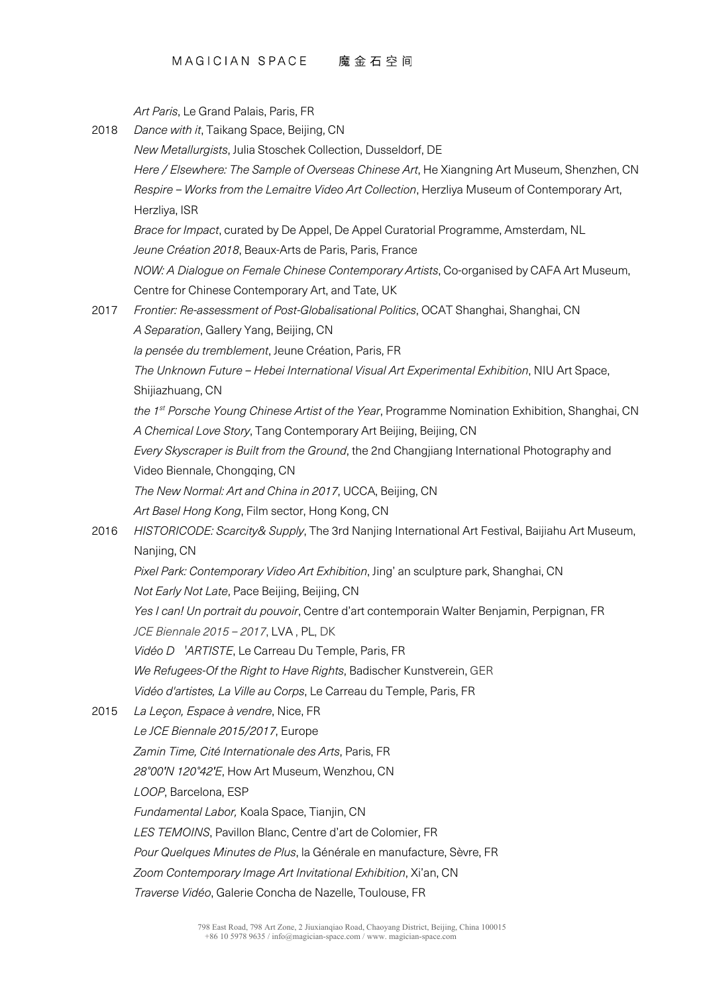#### MAGICIAN SPACE 魔金石空间

*Art Paris*, Le Grand Palais, Paris, FR

2018 *Dance with it*, Taikang Space, Beijing, CN *New Metallurgists*, Julia Stoschek Collection, Dusseldorf, DE *Here / Elsewhere: The Sample of Overseas Chinese Art*, He Xiangning Art Museum, Shenzhen, CN *Respire – Works from the Lemaitre Video Art Collection*, Herzliya Museum of Contemporary Art, Herzliya, ISR *Brace for Impact*, curated by De Appel, De Appel Curatorial Programme, Amsterdam, NL *Jeune Création 2018*, Beaux-Arts de Paris, Paris, France *NOW: A Dialogue on Female Chinese Contemporary Artists*, Co-organised by CAFA Art Museum, Centre for Chinese Contemporary Art, and Tate, UK 2017 *Frontier: Re-assessment of Post-Globalisational Politics*, OCAT Shanghai, Shanghai, CN *A Separation*, Gallery Yang, Beijing, CN *la pensée du tremblement*, Jeune Création, Paris, FR *The Unknown Future – Hebei International Visual Art Experimental Exhibition*, NIU Art Space, Shijiazhuang, CN *the 1st Porsche Young Chinese Artist of the Year*, Programme Nomination Exhibition, Shanghai, CN *A Chemical Love Story*, Tang Contemporary Art Beijing, Beijing, CN *Every Skyscraper is Built from the Ground*, the 2nd Changjiang International Photography and Video Biennale, Chongqing, CN *The New Normal: Art and China in 2017*, UCCA, Beijing, CN *Art Basel Hong Kong*, Film sector, Hong Kong, CN 2016 *HISTORICODE: Scarcity& Supply*, The 3rd Nanjing International Art Festival, Baijiahu Art Museum, Nanjing, CN *Pixel Park: Contemporary Video Art Exhibition*, Jing' an sculpture park, Shanghai, CN *Not Early Not Late*, Pace Beijing, Beijing, CN *Yes I can! Un portrait du pouvoir*, Centre d'art contemporain Walter Benjamin, Perpignan, FR *JCE Biennale 2015 – 2017*, LVA , PL, DK *Vidéo D*`*ARTISTE*, Le Carreau Du Temple, Paris, FR *We Refugees-Of the Right to Have Rights*, Badischer Kunstverein, GER *Vidéo d'artistes, La Ville au Corps*, Le Carreau du Temple, Paris, FR 2015 *La Leçon, Espace à vendre*, Nice, FR *Le JCE Biennale 2015/2017*, Europe *Zamin Time, Cité Internationale des Arts*, Paris, FR *28°00′N 120°42′E*, How Art Museum, Wenzhou, CN *LOOP*, Barcelona, ESP *Fundamental Labor,* Koala Space, Tianjin, CN *LES TEMOINS*, Pavillon Blanc, Centre d'art de Colomier, FR *Pour Quelques Minutes de Plus*, la Générale en manufacture, Sèvre, FR *Zoom Contemporary Image Art Invitational Exhibition*, Xi'an, CN *Traverse Vidéo*, Galerie Concha de Nazelle, Toulouse, FR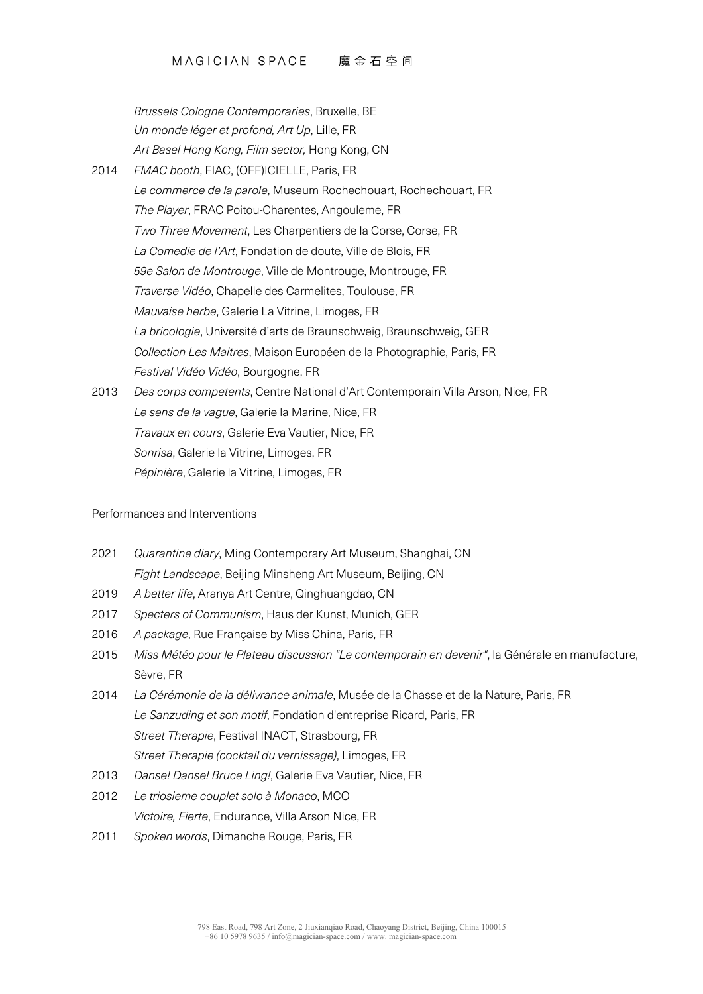#### MAGICIAN SPACE 魔金石空间

*Brussels Cologne Contemporaries*, Bruxelle, BE *Un monde léger et profond, Art Up*, Lille, FR *Art Basel Hong Kong, Film sector,* Hong Kong, CN 2014 *FMAC booth*, FIAC, (OFF)ICIELLE, Paris, FR *Le commerce de la parole*, Museum Rochechouart, Rochechouart, FR *The Player*, FRAC Poitou-Charentes, Angouleme, FR *Two Three Movement*, Les Charpentiers de la Corse, Corse, FR *La Comedie de l'Art*, Fondation de doute, Ville de Blois, FR *59e Salon de Montrouge*, Ville de Montrouge, Montrouge, FR *Traverse Vidéo*, Chapelle des Carmelites, Toulouse, FR *Mauvaise herbe*, Galerie La Vitrine, Limoges, FR *La bricologie*, Université d'arts de Braunschweig, Braunschweig, GER *Collection Les Maitres*, Maison Européen de la Photographie, Paris, FR *Festival Vidéo Vidéo*, Bourgogne, FR 2013 *Des corps competents*, Centre National d'Art Contemporain Villa Arson, Nice, FR *Le sens de la vague*, Galerie la Marine, Nice, FR *Travaux en cours*, Galerie Eva Vautier, Nice, FR *Sonrisa*, Galerie la Vitrine, Limoges, FR

*Pépinière*, Galerie la Vitrine, Limoges, FR

Performances and Interventions

- 2021 *Quarantine diary*, Ming Contemporary Art Museum, Shanghai, CN *Fight Landscape*, Beijing Minsheng Art Museum, Beijing, CN
- 2019 *A better life*, Aranya Art Centre, Qinghuangdao, CN
- 2017 *Specters of Communism*, Haus der Kunst, Munich, GER
- 2016 *A package*, Rue Française by Miss China, Paris, FR
- 2015 *Miss Météo pour le Plateau discussion "Le contemporain en devenir"*, la Générale en manufacture, Sèvre, FR
- 2014 *La Cérémonie de la délivrance animale*, Musée de la Chasse et de la Nature, Paris, FR *Le Sanzuding et son motif*, Fondation d'entreprise Ricard, Paris, FR *Street Therapie*, Festival INACT, Strasbourg, FR *Street Therapie (cocktail du vernissage)*, Limoges, FR
- 2013 *Danse! Danse! Bruce Ling!*, Galerie Eva Vautier, Nice, FR
- 2012 *Le triosieme couplet solo à Monaco*, MCO *Victoire, Fierte*, Endurance, Villa Arson Nice, FR
- 2011 *Spoken words*, Dimanche Rouge, Paris, FR